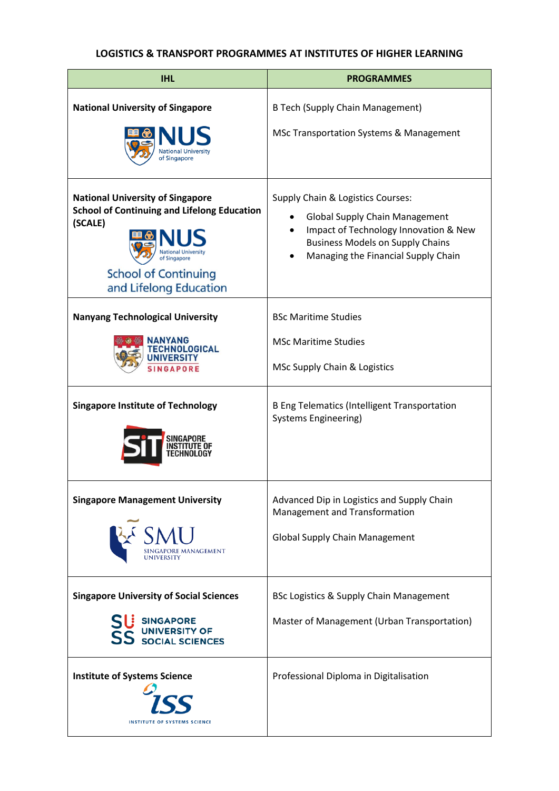## **LOGISTICS & TRANSPORT PROGRAMMES AT INSTITUTES OF HIGHER LEARNING**

| <b>IHL</b>                                                                                                                                                        | <b>PROGRAMMES</b>                                                                                                                                                                                     |
|-------------------------------------------------------------------------------------------------------------------------------------------------------------------|-------------------------------------------------------------------------------------------------------------------------------------------------------------------------------------------------------|
| <b>National University of Singapore</b><br>of Singapore                                                                                                           | <b>B Tech (Supply Chain Management)</b><br>MSc Transportation Systems & Management                                                                                                                    |
| <b>National University of Singapore</b><br><b>School of Continuing and Lifelong Education</b><br>(SCALE)<br><b>School of Continuing</b><br>and Lifelong Education | Supply Chain & Logistics Courses:<br><b>Global Supply Chain Management</b><br>Impact of Technology Innovation & New<br><b>Business Models on Supply Chains</b><br>Managing the Financial Supply Chain |
| <b>Nanyang Technological University</b><br>ANYANG<br>HNOLOGICAL<br><b>INIVERS</b><br><b>SINGAPORE</b>                                                             | <b>BSc Maritime Studies</b><br><b>MSc Maritime Studies</b><br>MSc Supply Chain & Logistics                                                                                                            |
| <b>Singapore Institute of Technology</b>                                                                                                                          | <b>B Eng Telematics (Intelligent Transportation</b><br><b>Systems Engineering)</b>                                                                                                                    |
| <b>Singapore Management University</b><br>SMU SINGAPORE MANAGEMENT                                                                                                | Advanced Dip in Logistics and Supply Chain<br>Management and Transformation<br><b>Global Supply Chain Management</b>                                                                                  |
| <b>Singapore University of Social Sciences</b><br>SINGAPORE<br>UNIVERSITY OF                                                                                      | BSc Logistics & Supply Chain Management<br>Master of Management (Urban Transportation)                                                                                                                |
| <b>Institute of Systems Science</b><br><b>INSTITUTE OF SYSTEMS SCIENCE</b>                                                                                        | Professional Diploma in Digitalisation                                                                                                                                                                |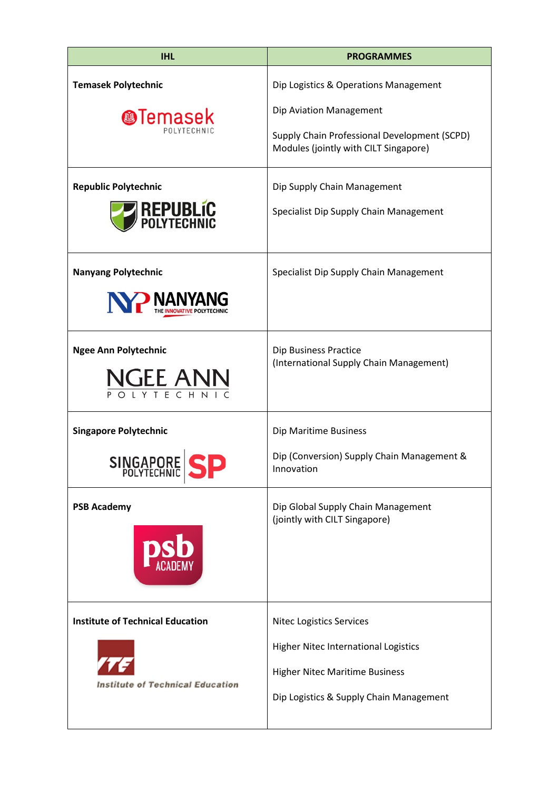| <b>IHL</b>                              | <b>PROGRAMMES</b>                                                                     |
|-----------------------------------------|---------------------------------------------------------------------------------------|
| <b>Temasek Polytechnic</b>              | Dip Logistics & Operations Management                                                 |
| <b>@Temasek</b><br>POLYTECHNIC          | Dip Aviation Management                                                               |
|                                         | Supply Chain Professional Development (SCPD)<br>Modules (jointly with CILT Singapore) |
| <b>Republic Polytechnic</b>             | Dip Supply Chain Management                                                           |
| <b>REPUBLIC</b><br>POLYTECHNIC          | Specialist Dip Supply Chain Management                                                |
| <b>Nanyang Polytechnic</b>              | Specialist Dip Supply Chain Management                                                |
| NP NANYANG                              |                                                                                       |
| <b>Ngee Ann Polytechnic</b>             | Dip Business Practice<br>(International Supply Chain Management)                      |
| NGEE ANN                                |                                                                                       |
| <b>Singapore Polytechnic</b>            | Dip Maritime Business                                                                 |
| SINGAPORE S                             | Dip (Conversion) Supply Chain Management &<br>Innovation                              |
| <b>PSB Academy</b>                      | Dip Global Supply Chain Management<br>(jointly with CILT Singapore)                   |
| <b>Institute of Technical Education</b> | <b>Nitec Logistics Services</b>                                                       |
|                                         | Higher Nitec International Logistics                                                  |
| <b>Institute of Technical Education</b> | <b>Higher Nitec Maritime Business</b>                                                 |
|                                         | Dip Logistics & Supply Chain Management                                               |